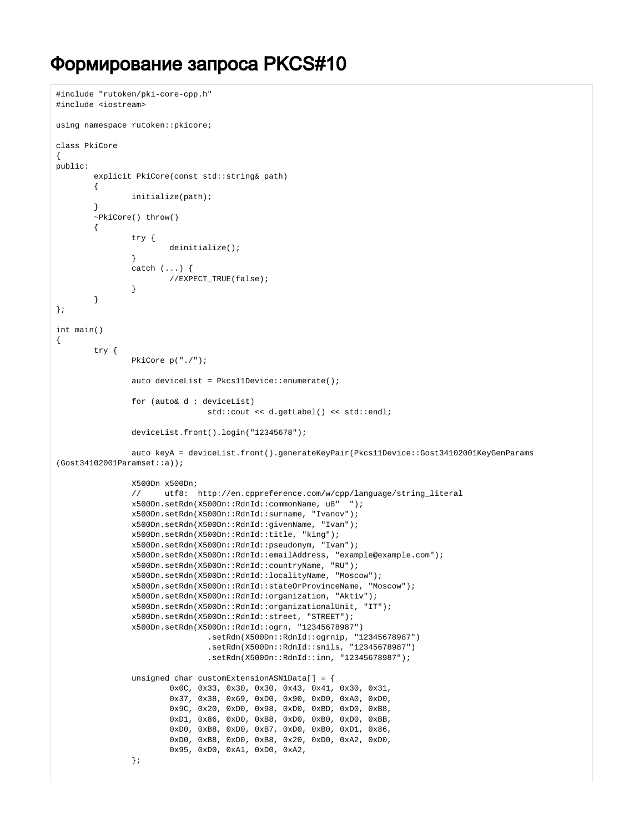## Формирование запроса PKCS#10

```
#include "rutoken/pki-core-cpp.h"
#include <iostream>
using namespace rutoken::pkicore;
class PkiCore
{
public:
         explicit PkiCore(const std::string& path)
         {
                 initialize(path);
         }
         ~PkiCore() throw()
         {
                 try {
                         deinitialize();
 }
                 catch (...) {
                        //EXPECT_TRUE(false);
 }
         }
};
int main()
{
         try {
                 PkiCore p("./");
                 auto deviceList = Pkcs11Device::enumerate();
                 for (auto& d : deviceList)
                                 std::cout << d.getLabel() << std::endl;
                 deviceList.front().login("12345678");
                 auto keyA = deviceList.front().generateKeyPair(Pkcs11Device::Gost34102001KeyGenParams
(Gost34102001Paramset::a));
                 X500Dn x500Dn;
                 // utf8: http://en.cppreference.com/w/cpp/language/string_literal
                 x500Dn.setRdn(X500Dn::RdnId::commonName, u8" "); 
                 x500Dn.setRdn(X500Dn::RdnId::surname, "Ivanov");
                 x500Dn.setRdn(X500Dn::RdnId::givenName, "Ivan");
                 x500Dn.setRdn(X500Dn::RdnId::title, "king");
                 x500Dn.setRdn(X500Dn::RdnId::pseudonym, "Ivan");
                 x500Dn.setRdn(X500Dn::RdnId::emailAddress, "example@example.com");
                 x500Dn.setRdn(X500Dn::RdnId::countryName, "RU");
                 x500Dn.setRdn(X500Dn::RdnId::localityName, "Moscow");
                 x500Dn.setRdn(X500Dn::RdnId::stateOrProvinceName, "Moscow");
                 x500Dn.setRdn(X500Dn::RdnId::organization, "Aktiv");
                 x500Dn.setRdn(X500Dn::RdnId::organizationalUnit, "IT");
                 x500Dn.setRdn(X500Dn::RdnId::street, "STREET");
                 x500Dn.setRdn(X500Dn::RdnId::ogrn, "12345678987")
                                 .setRdn(X500Dn::RdnId::ogrnip, "12345678987")
                                 .setRdn(X500Dn::RdnId::snils, "12345678987")
                                 .setRdn(X500Dn::RdnId::inn, "12345678987");
                 unsigned char customExtensionASN1Data[] = {
                         0x0C, 0x33, 0x30, 0x30, 0x43, 0x41, 0x30, 0x31,
                         0x37, 0x38, 0x69, 0xD0, 0x90, 0xD0, 0xA0, 0xD0,
                         0x9C, 0x20, 0xD0, 0x98, 0xD0, 0xBD, 0xD0, 0xB8,
                         0xD1, 0x86, 0xD0, 0xB8, 0xD0, 0xB0, 0xD0, 0xBB,
                         0xD0, 0xB8, 0xD0, 0xB7, 0xD0, 0xB0, 0xD1, 0x86,
                         0xD0, 0xB8, 0xD0, 0xB8, 0x20, 0xD0, 0xA2, 0xD0,
                         0x95, 0xD0, 0xA1, 0xD0, 0xA2,
                 };
```